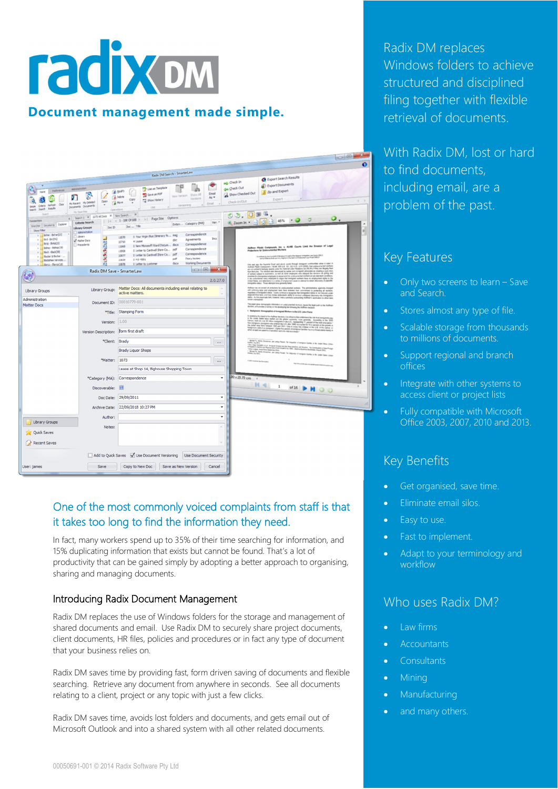# **radix om Document management made simple.**

|                                                                                                                                                                                                                         | $\begin{array}{c c c c c c} \hline \multicolumn{3}{c }{\mathbf{0}} & \multicolumn{3}{c }{\mathbf{X}} \end{array}$                                                                                                                                                                                                                                                                                                                                                                                                                                                                                                                                                                                                                                                                                                                                                                                                                                                                                            |           |
|-------------------------------------------------------------------------------------------------------------------------------------------------------------------------------------------------------------------------|--------------------------------------------------------------------------------------------------------------------------------------------------------------------------------------------------------------------------------------------------------------------------------------------------------------------------------------------------------------------------------------------------------------------------------------------------------------------------------------------------------------------------------------------------------------------------------------------------------------------------------------------------------------------------------------------------------------------------------------------------------------------------------------------------------------------------------------------------------------------------------------------------------------------------------------------------------------------------------------------------------------|-----------|
|                                                                                                                                                                                                                         |                                                                                                                                                                                                                                                                                                                                                                                                                                                                                                                                                                                                                                                                                                                                                                                                                                                                                                                                                                                                              | $\bullet$ |
|                                                                                                                                                                                                                         |                                                                                                                                                                                                                                                                                                                                                                                                                                                                                                                                                                                                                                                                                                                                                                                                                                                                                                                                                                                                              |           |
|                                                                                                                                                                                                                         | Radix DM Search - SmarterLaw<br><b>O</b> Export Search Results                                                                                                                                                                                                                                                                                                                                                                                                                                                                                                                                                                                                                                                                                                                                                                                                                                                                                                                                               |           |
| Administration<br>Preferences<br>š<br>Г<br>Open<br>My Recent My Deleted<br>Cen<br>Criteria Referin<br>Documents Documents<br>Single<br>Search Search Avaults<br>My Searches                                             | sub Check In<br><b>B</b> Export Documents<br>σ<br>Use as Template<br>das Check Out<br>w<br>a Hodfy<br>2 Zip and Export<br>Show Checked Out<br>Street as PDF<br>Enal<br><b>Show All</b><br>Mear Version<br><b>b</b> Delete<br>As *<br>Versions<br>Export<br>Copy<br>Show History<br>check-In/Out<br><b>A</b> Move<br>Email<br>versioning<br><b>Use</b><br>Operations                                                                                                                                                                                                                                                                                                                                                                                                                                                                                                                                                                                                                                          | $4 - 3$   |
| Grand<br>Search 1 X 3273 All Docs X New Search                                                                                                                                                                          | CB OMT.<br>$\times$<br>$ <$ < 1 - 108 Of 108 > >   Page Size Options<br>ο.                                                                                                                                                                                                                                                                                                                                                                                                                                                                                                                                                                                                                                                                                                                                                                                                                                                                                                                                   |           |
| <b>Taygarites</b><br><b>Criteria Search</b><br>Searches Documents Explorer<br>Doc ID<br>Library Groups<br>Show Filter<br>Administration                                                                                 | ಾ<br>2 Zoom in - in 3 3 46% - 0<br>$\text{Ver}$ $\triangleq$<br>Exten Category (MA)<br>Doc  Title                                                                                                                                                                                                                                                                                                                                                                                                                                                                                                                                                                                                                                                                                                                                                                                                                                                                                                            | 립         |
| Bidw - Bdw(21)<br>1 Library<br>$\frac{1}{2}$ fird - Brd(41)<br>Matter Docs<br>Britz - Britz(23)<br>Precedents<br>Bahop - Bahop(19)<br>- dad - Back(30)<br>Bader & Slader -<br>. Badahay Services<br>Banco - Blanco (18) | Correspondence<br>0 Your Virgin Blue Itmerary fo msg<br>11070<br>Inco<br>Agreements<br>doc<br>4 Lease<br>10710<br>Correspondence<br>0 New Microsoft Word Docum docx<br>Hoffman Pikstic Compounds, Inc. v. ALASt: Counts Limit the Erosion of Lagal<br>Profections for Unifocumented Workers<br>11069<br>Correspondence<br>0 Letter to Cardwell Shire Co  pdf<br>13068<br>Correspondence<br>0 Letter to Cardwell Shire Co  pdf<br>10877<br>Consultance by Associated this Manipus into applied the National interpretation Careter (NLC).<br>Just by National State and Any Engineer of the National Engineer Law Propel (NELP)<br>Diary Notes<br>odf<br>0 PO 4581<br>10839<br>Working Decuments<br>dock<br>0 Letter to customer<br>10878<br>On any ago, by layers Cost and any detail integrate considerable at the $1$ dark in the constraints $\sim$ 0.01 day of the constraints and the constraints of the constraints of the constraints of the constraints of the cons<br>$\Box$ $\Box$<br>$\mathbf{x}$ |           |
|                                                                                                                                                                                                                         | Radix DM Save - SmarterLaw                                                                                                                                                                                                                                                                                                                                                                                                                                                                                                                                                                                                                                                                                                                                                                                                                                                                                                                                                                                   |           |
|                                                                                                                                                                                                                         | 2.0.27.0                                                                                                                                                                                                                                                                                                                                                                                                                                                                                                                                                                                                                                                                                                                                                                                                                                                                                                                                                                                                     |           |
| Library Group:<br><b>Library Groups</b>                                                                                                                                                                                 | Matter Docs: All documents including email relating to<br>Mother has not ended at princtices for undecutated scaless. The administration agencies charged at the endeavor of the symptom based and the convention of the symptom of the symptom of the symptom of the symptom of the sy<br>active matters.                                                                                                                                                                                                                                                                                                                                                                                                                                                                                                                                                                                                                                                                                                   |           |
| Administration<br>Document ID:<br><b>Matter Docs</b>                                                                                                                                                                    | <b>Simulation of America</b><br>00010779-001<br>This paper gives demographic information an undecumented workers, traces the legal pash to the Hizdhnan<br>declates, and provides a survey on the developing law holowing the Hizdhnan-decision.                                                                                                                                                                                                                                                                                                                                                                                                                                                                                                                                                                                                                                                                                                                                                             |           |
|                                                                                                                                                                                                                         | 1. Reckpround: Demographics of inenigrant Morkers in the U.S. Labor Force<br>*Title: Stamping Form                                                                                                                                                                                                                                                                                                                                                                                                                                                                                                                                                                                                                                                                                                                                                                                                                                                                                                           |           |
| Version:                                                                                                                                                                                                                | In any the location of the space and the phase supporters are the following property of the space of the space of the phase supported in the space of the space of the space of the space of the space of the space of the sp<br>1.00                                                                                                                                                                                                                                                                                                                                                                                                                                                                                                                                                                                                                                                                                                                                                                        |           |
| Version Description: Form first draft                                                                                                                                                                                   |                                                                                                                                                                                                                                                                                                                                                                                                                                                                                                                                                                                                                                                                                                                                                                                                                                                                                                                                                                                                              |           |
| *Client: Brady                                                                                                                                                                                                          | Millard Fa. Monty Zhomeman, and Julian Patent, The Integration of intelligence Fundition in the Lindais Edward Edward Edward<br>$\cdots$<br>stiliku, kaj česti,<br>Toro, Kagi, Harangkin, el al. Torolpadi Modern avat kaj Omal Attarbum Juli Mouticar. The Conte<br>Inspirito in Noticar ant Regional Lebo Punte Gouell II de 1985s. (Malilma Bushimo, Routinia)                                                                                                                                                                                                                                                                                                                                                                                                                                                                                                                                                                                                                                            |           |
|                                                                                                                                                                                                                         | <b>Brady Liquor Shops</b><br>de modulis, chuca Paras (Bankretan (2014). The 1974 - Diatema Bushimis Routinistak, Awgust (2021).<br>Amas Fa, Wordy Dromerham, and Judity Pompel, The Independent of Inselation of the United States (UKan                                                                                                                                                                                                                                                                                                                                                                                                                                                                                                                                                                                                                                                                                                                                                                     |           |
| *Matter: 1073                                                                                                                                                                                                           | $\cdots$                                                                                                                                                                                                                                                                                                                                                                                                                                                                                                                                                                                                                                                                                                                                                                                                                                                                                                                                                                                                     |           |
|                                                                                                                                                                                                                         | Lease at Shop 14, Bighouse Shopping Town                                                                                                                                                                                                                                                                                                                                                                                                                                                                                                                                                                                                                                                                                                                                                                                                                                                                                                                                                                     |           |
| Discoverable:                                                                                                                                                                                                           | $0 \times 29.70$ cm<br>*Category (MA): Correspondence<br>$\check{}$<br>N <   1 of16 ▶ N © ⊙<br>$\overline{ }$<br>$\Box$                                                                                                                                                                                                                                                                                                                                                                                                                                                                                                                                                                                                                                                                                                                                                                                                                                                                                      |           |
|                                                                                                                                                                                                                         | Doc Date: 29/09/2011<br>$\check{}$                                                                                                                                                                                                                                                                                                                                                                                                                                                                                                                                                                                                                                                                                                                                                                                                                                                                                                                                                                           |           |
|                                                                                                                                                                                                                         | Archive Date: 22/09/2018 10:27 PM<br>$\overline{\phantom{a}}$                                                                                                                                                                                                                                                                                                                                                                                                                                                                                                                                                                                                                                                                                                                                                                                                                                                                                                                                                |           |
| Author:                                                                                                                                                                                                                 | ٠                                                                                                                                                                                                                                                                                                                                                                                                                                                                                                                                                                                                                                                                                                                                                                                                                                                                                                                                                                                                            |           |
| Library Groups<br>Notes:                                                                                                                                                                                                | $\lambda$                                                                                                                                                                                                                                                                                                                                                                                                                                                                                                                                                                                                                                                                                                                                                                                                                                                                                                                                                                                                    |           |
| <b>Quick Saves</b>                                                                                                                                                                                                      |                                                                                                                                                                                                                                                                                                                                                                                                                                                                                                                                                                                                                                                                                                                                                                                                                                                                                                                                                                                                              |           |
| Recent Saves                                                                                                                                                                                                            |                                                                                                                                                                                                                                                                                                                                                                                                                                                                                                                                                                                                                                                                                                                                                                                                                                                                                                                                                                                                              |           |
|                                                                                                                                                                                                                         | Add to Quick Saves V Use Document Versioning<br><b>Use Document Security</b>                                                                                                                                                                                                                                                                                                                                                                                                                                                                                                                                                                                                                                                                                                                                                                                                                                                                                                                                 |           |
| Save<br>User: james                                                                                                                                                                                                     | Copy to New Doc<br>Save as New Version<br>Cancel                                                                                                                                                                                                                                                                                                                                                                                                                                                                                                                                                                                                                                                                                                                                                                                                                                                                                                                                                             |           |

# One of the most commonly voiced complaints from staff is that it takes too long to find the information they need.

In fact, many workers spend up to 35% of their time searching for information, and 15% duplicating information that exists but cannot be found. That's a lot of productivity that can be gained simply by adopting a better approach to organising, sharing and managing documents.

### Introducing Radix Document Management

Radix DM replaces the use of Windows folders for the storage and management of shared documents and email. Use Radix DM to securely share project documents, client documents, HR files, policies and procedures or in fact any type of document that your business relies on.

Radix DM saves time by providing fast, form driven saving of documents and flexible searching. Retrieve any document from anywhere in seconds. See all documents relating to a client, project or any topic with just a few clicks.

Radix DM saves time, avoids lost folders and documents, and gets email out of Microsoft Outlook and into a shared system with all other related documents.

Radix DM replaces Windows folders to achieve structured and disciplined filing together with flexible retrieval of documents.

With Radix DM, lost or hard to find documents, including email, are a problem of the past.

## Key Features

- Only two screens to learn Save and Search.
- Stores almost any type of file.
- · Scalable storage from thousands to millions of documents.
- · Support regional and branch offices
- · Integrate with other systems to access client or project lists
- Fully compatible with Microsoft Office 2003, 2007, 2010 and 2013.

# Key Benefits

- Get organised, save time.
- · Eliminate email silos.
- · Easy to use.
- · Fast to implement.
- Adapt to your terminology and workflow

# Who uses Radix DM?

- · Law firms
- · Accountants
- · Consultants
- · Mining
- · Manufacturing
- and many others.